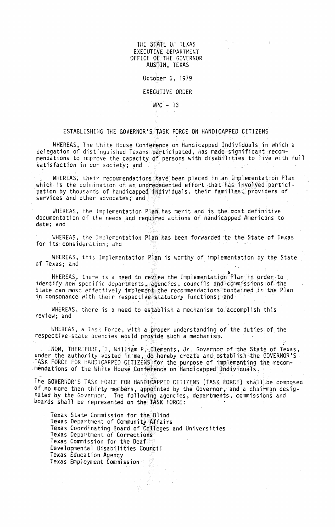THE STATE OF TEXAS EXECUTIVE DEPARTMENT OFFICE OF THE GOVERNOR AUSTIN, TEXAS

#### October 5, 1979

## **EXECUTIVE ORDER**

## $WPC - 13$

## ESTABLISHING THE GOVERNOR'S TASK FORCE ON HANDICAPPED CITIZENS

WHEREAS, The White House Conference on Handicapped Individuals in which a delegation of distinguished Texans participated, has made significant recommendations to improve the capacity of persons with disabilities to live with full satisfaction in our society; and

WHEREAS, their recommendations have been placed in an Implementation Plan which is the culmination of an unprecedented effort that has involved participation by thousands of handicapped individuals, their families, providers of services and other advocates; and

WHEREAS, the Implementation Plan has merit and is the most definitive documentation of the needs and required actions of handicapped Americans to date; and

WHEREAS, the Implementation Plan has been forwarded to the State of Texas for its consideration; and

WHEREAS, this Implementation Plan is worthy of implementation by the State of Texas; and

WHEREAS, there is a need to review the Implementation Plan in order to identify how specific departments, agencies, councils and commissions of the State can most effectively implement the recommendations contained in the Plan in consonance with their respective statutory functions; and

WHEREAS, there is a need to establish a mechanism to accomplish this review: and

WHEREAS, a Task Force, with a proper understanding of the duties of the respective state agencies would provide such a mechanism.

NOW, THEREFORE, I, William P. Clements, Jr. Governor of the State of Texas, under the authority vested in me, do hereby create and establish the GOVERNOR'S.<br>TASK FORCE FOR HANDICAPPED CITIZENS for the purpose of implementing the recom-<br>mendations of the White House Conference on Handicapped Indivi

The GOVERNOR'S TASK FORCE FOR HANDICAPPED CITIZENS (TASK FORCE) shall be composed of no more than thirty members, appointed by the Governor, and a chairman designated by the Governor. The following agencies, departments, commissions and boards shall be represented on the TASK FORCE:

Texas State Commission for the Blind Texas Department of Community Affairs Texas Coordinating Board of Colleges and Universities Texas Department of Corrections Texas Commission for the Deaf Developmental Disabilities Council Texas Education Agency Texas Employment Commission